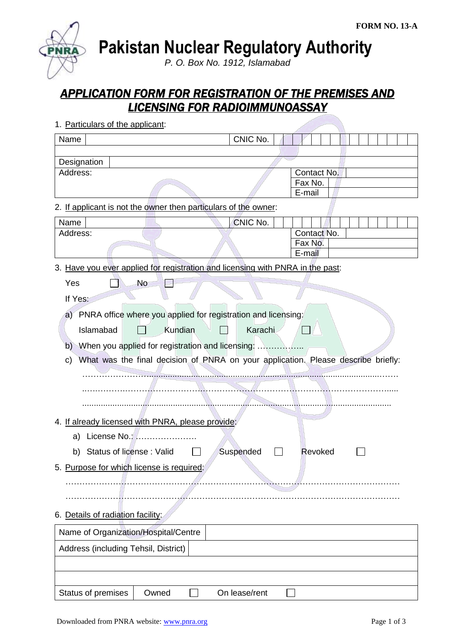**Pakistan Nuclear Regulatory Authority**

*P. O. Box No. 1912, Islamabad*

# *APPLICATION FORM FOR REGISTRATION OF THE PREMISES AND LICENSING FOR RADIOIMMUNOASSAY*

| Name                                      |                                                                                                                                                                                                                         | CNIC No.  |                                                                                   |
|-------------------------------------------|-------------------------------------------------------------------------------------------------------------------------------------------------------------------------------------------------------------------------|-----------|-----------------------------------------------------------------------------------|
|                                           |                                                                                                                                                                                                                         |           |                                                                                   |
| Designation<br>Address:                   |                                                                                                                                                                                                                         |           | Contact No.<br>Fax No.<br>E-mail                                                  |
|                                           | 2. If applicant is not the owner then particulars of the owner:                                                                                                                                                         |           |                                                                                   |
| Name<br>Address:                          |                                                                                                                                                                                                                         | CNIC No.  | Contact No.<br>Fax No.                                                            |
|                                           |                                                                                                                                                                                                                         |           | E-mail                                                                            |
| Yes<br>If Yes:<br>Islamabad<br>b)<br>C)   | 3. Have you ever applied for registration and licensing with PNRA in the past:<br>No<br>a) PNRA office where you applied for registration and licensing:<br>Kundian<br>When you applied for registration and licensing: | Karachi   | What was the final decision of PNRA on your application. Please describe briefly: |
|                                           | 4. If already licensed with PNRA, please provide:                                                                                                                                                                       |           |                                                                                   |
| a)                                        | License No.:                                                                                                                                                                                                            |           |                                                                                   |
| Status of license: Valid<br>b)            |                                                                                                                                                                                                                         | Suspended | Revoked                                                                           |
| 5. Purpose for which license is required: |                                                                                                                                                                                                                         |           |                                                                                   |
| 6. Details of radiation facility:         |                                                                                                                                                                                                                         |           |                                                                                   |
| Name of Organization/Hospital/Centre      |                                                                                                                                                                                                                         |           |                                                                                   |
| Address (including Tehsil, District)      |                                                                                                                                                                                                                         |           |                                                                                   |
|                                           |                                                                                                                                                                                                                         |           |                                                                                   |

1. Particulars of the applicant: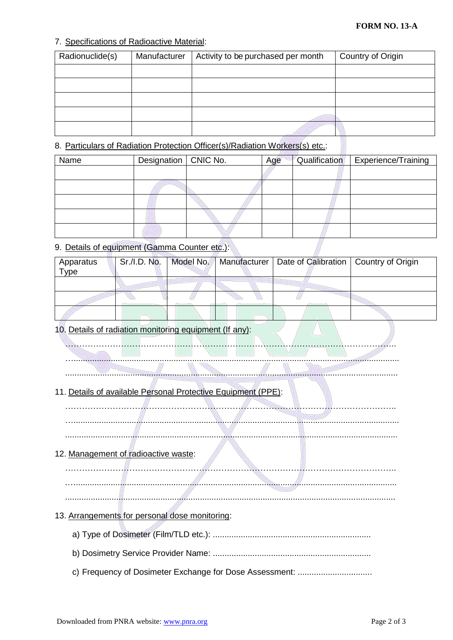#### **FORM NO. 13-A**

#### 7. Specifications of Radioactive Material:

| Radionuclide(s) | Manufacturer | Activity to be purchased per month | Country of Origin |
|-----------------|--------------|------------------------------------|-------------------|
|                 |              |                                    |                   |
|                 |              |                                    |                   |
|                 |              |                                    |                   |
|                 |              |                                    |                   |
|                 |              |                                    |                   |

#### 8. Particulars of Radiation Protection Officer(s)/Radiation Workers(s) etc.:

| Name | Designation   CNIC No. | Age | Qualification | <b>Experience/Training</b> |
|------|------------------------|-----|---------------|----------------------------|
|      |                        |     |               |                            |
|      |                        |     |               |                            |
|      |                        |     |               |                            |
|      |                        |     |               |                            |
|      |                        |     |               |                            |

#### 9. Details of equipment (Gamma Counter etc.):

| Apparatus<br>Type | Sr./I.D. No. |  | Model No.   Manufacturer   Date of Calibration   Country of Origin |  |
|-------------------|--------------|--|--------------------------------------------------------------------|--|
|                   |              |  |                                                                    |  |
|                   |              |  |                                                                    |  |
|                   |              |  |                                                                    |  |

#### 10. Details of radiation monitoring equipment (If any):

………………………………………………………………………………………………………..

…............................................................................................................................................

# ...............................................................................................................................................

## 11. Details of available Personal Protective Equipment (PPE):

………………………………………………………………………………………………………..

…............................................................................................................................................

...............................................................................................................................................

### 12. Management of radioactive waste:

………………………………………………………………………………………………………..

.…..........................................................................................................................................

..............................................................................................................................................

- 13. Arrangements for personal dose monitoring:
	- a) Type of Dosimeter (Film/TLD etc.): ....................................................................
	- b) Dosimetry Service Provider Name: ....................................................................
	- c) Frequency of Dosimeter Exchange for Dose Assessment: .................................